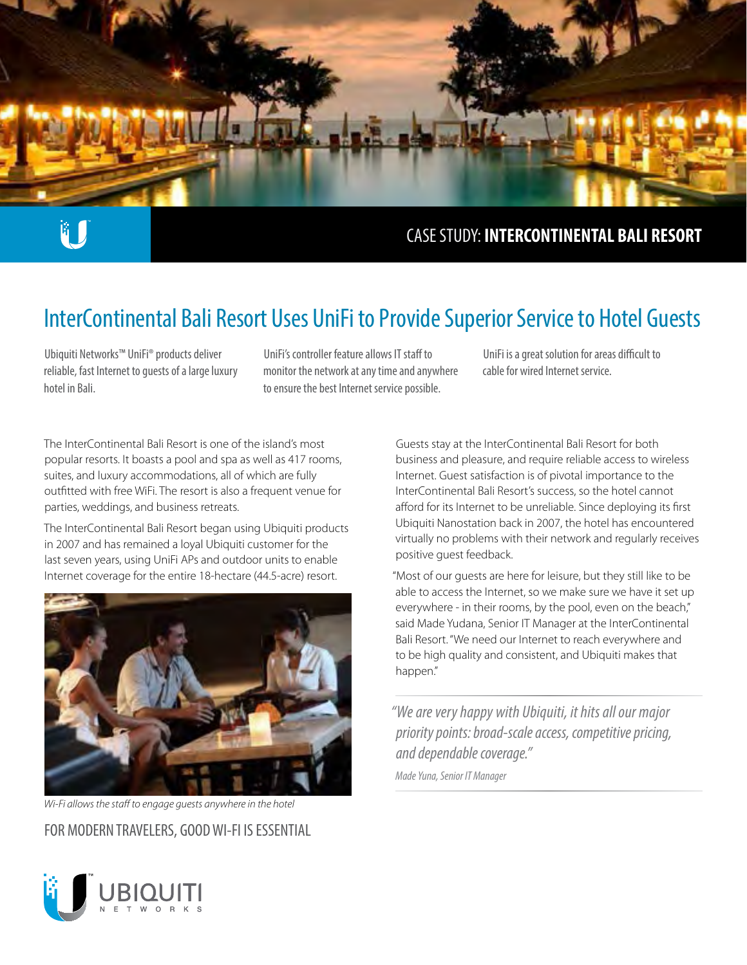

# ü í

### CASE STUDY: **INTERCONTINENTAL BALI RESORT**

## InterContinental Bali Resort Uses UniFi to Provide Superior Service to Hotel Guests

Ubiquiti Networks™ UniFi® products deliver reliable, fast Internet to guests of a large luxury hotel in Bali.

UniFi's controller feature allows IT staff to monitor the network at any time and anywhere to ensure the best Internet service possible.

UniFi is a great solution for areas difficult to cable for wired Internet service.

The InterContinental Bali Resort is one of the island's most popular resorts. It boasts a pool and spa as well as 417 rooms, suites, and luxury accommodations, all of which are fully outfitted with free WiFi. The resort is also a frequent venue for parties, weddings, and business retreats.

The InterContinental Bali Resort began using Ubiquiti products in 2007 and has remained a loyal Ubiquiti customer for the last seven years, using UniFi APs and outdoor units to enable Internet coverage for the entire 18-hectare (44.5-acre) resort.



*Wi-Fi allows the staff to engage guests anywhere in the hotel* 

FOR MODERN TRAVELERS, GOOD WI-FI IS ESSENTIAL

Guests stay at the InterContinental Bali Resort for both business and pleasure, and require reliable access to wireless Internet. Guest satisfaction is of pivotal importance to the InterContinental Bali Resort's success, so the hotel cannot afford for its Internet to be unreliable. Since deploying its first Ubiquiti Nanostation back in 2007, the hotel has encountered virtually no problems with their network and regularly receives positive guest feedback.

"Most of our guests are here for leisure, but they still like to be able to access the Internet, so we make sure we have it set up everywhere - in their rooms, by the pool, even on the beach," said Made Yudana, Senior IT Manager at the InterContinental Bali Resort. "We need our Internet to reach everywhere and to be high quality and consistent, and Ubiquiti makes that happen."

*"We are very happy with Ubiquiti, it hits all our major priority points: broad-scale access, competitive pricing, and dependable coverage."* 

*Made Yuna, Senior IT Manager*